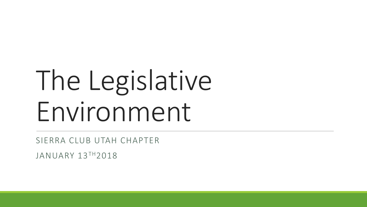## The Legislative Environment

SIERRA CLUB UTAH CHAPTER

JANUARY 13TH2018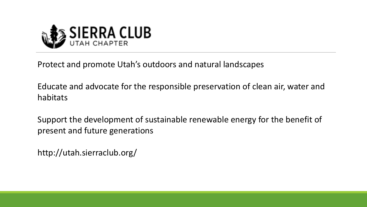

Protect and promote Utah's outdoors and natural landscapes

Educate and advocate for the responsible preservation of clean air, water and habitats

Support the development of sustainable renewable energy for the benefit of present and future generations

http://utah.sierraclub.org/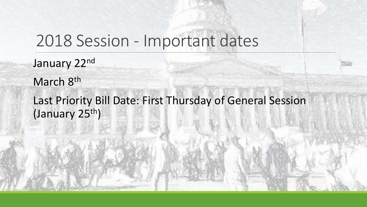### 2018 Session - Important dates

January 22nd March 8<sup>th</sup> Last Priority Bill Date: First Thursday of General Session (January 25th)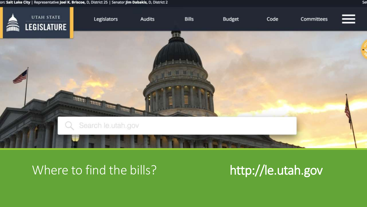#### on: Salt Lake City | Representative Joel K. Briscoe, D, District 25 | Senator Jim Dabakis, D, District 2



### Where to find the bills? http://le.utah.gov

Se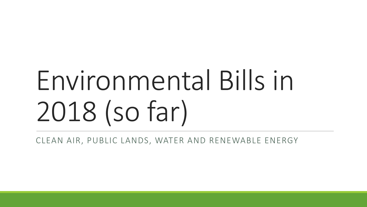# Environmental Bills in 2018 (so far)

CLEAN AIR, PUBLIC LANDS, WATER AND RENEWABLE ENERGY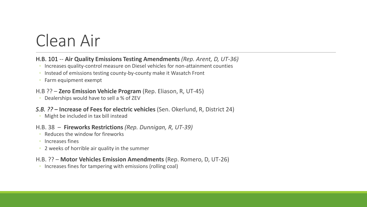### Clean Air

#### H.B. 101 -- **Air Quality Emissions Testing Amendments** *(Rep. Arent, D, UT-36)*

- Increases quality-control measure on Diesel vehicles for non-attainment counties
- Instead of emissions testing county-by-county make it Wasatch Front
- Farm equipment exempt

#### H.B ?? – **Zero Emission Vehicle Program** (Rep. Eliason, R, UT-45)

◦ Dealerships would have to sell a % of ZEV

#### *S.B. ?? –* **Increase of Fees for electric vehicles** (Sen. Okerlund, R, District 24)

◦ Might be included in tax bill instead

#### H.B. 38 – **Fireworks Restrictions** *(Rep. Dunnigan, R, UT-39)*

- Reduces the window for fireworks
- Increases fines
- 2 weeks of horrible air quality in the summer

#### H.B. ?? – **Motor Vehicles Emission Amendments** (Rep. Romero, D, UT-26)

◦ Increases fines for tampering with emissions (rolling coal)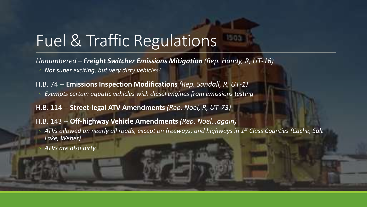### Fuel & Traffic Regulations

*Unnumbered – Freight Switcher Emissions Mitigation (Rep. Handy, R, UT-16)* ◦ *Not super exciting, but very dirty vehicles!*

H.B. 74 -- **Emissions Inspection Modifications** *(Rep. Sandall, R, UT-1)*

◦ *Exempts certain aquatic vehicles with diesel engines from emissions testing*

H.B. 114 -- **Street-legal ATV Amendments** *(Rep. Noel, R, UT-73)*

#### H.B. 143 -- **Off-highway Vehicle Amendments** *(Rep. Noel…again)*

- *ATVs allowed on nearly all roads, except on freeways, and highways in 1st Class Counties (Cache, Salt Lake, Weber)*
- *ATVs are also dirty*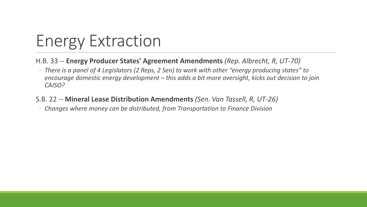## Energy Extraction

- H.B. 33 -- **Energy Producer States' Agreement Amendments** *(Rep. Albrecht, R, UT-70)*
- *There is a panel of 4 Legislators (2 Reps, 2 Sen) to work with other "energy producing states" to encourage domestic energy development – this adds a bit more oversight, kicks out decision to join CAISO?*
- S.B. 22 -- **Mineral Lease Distribution Amendments** *(Sen. Van Tassell, R, UT-26)*
- *Changes where money can be distributed, from Transportation to Finance Division*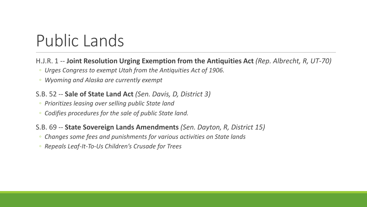### Public Lands

#### H.J.R. 1 -- **Joint Resolution Urging Exemption from the Antiquities Act** *(Rep. Albrecht, R, UT-70)*

- *Urges Congress to exempt Utah from the Antiquities Act of 1906.*
- *Wyoming and Alaska are currently exempt*

#### S.B. 52 -- **Sale of State Land Act** *(Sen. Davis, D, District 3)*

- *Prioritizes leasing over selling public State land*
- *Codifies procedures for the sale of public State land.*

#### S.B. 69 -- **State Sovereign Lands Amendments** *(Sen. Dayton, R, District 15)*

- *Changes some fees and punishments for various activities on State lands*
- *Repeals Leaf-It-To-Us Children's Crusade for Trees*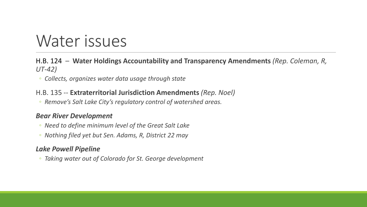### Water issues

#### H.B. 124 *–* **Water Holdings Accountability and Transparency Amendments** *(Rep. Coleman, R, UT-42)*

◦ *Collects, organizes water data usage through state*

#### H.B. 135 -- **Extraterritorial Jurisdiction Amendments** *(Rep. Noel)*

◦ *Remove's Salt Lake City's regulatory control of watershed areas.* 

#### *Bear River Development*

- *Need to define minimum level of the Great Salt Lake*
- *Nothing filed yet but Sen. Adams, R, District 22 may*

#### *Lake Powell Pipeline*

◦ *Taking water out of Colorado for St. George development*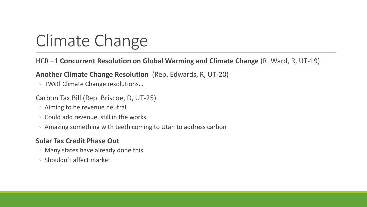## Climate Change

#### HCR –1 **Concurrent Resolution on Global Warming and Climate Change** (R. Ward, R, UT-19)

#### **Another Climate Change Resolution** (Rep. Edwards, R, UT-20)

◦ TWO! Climate Change resolutions…

#### Carbon Tax Bill (Rep. Briscoe, D, UT-25)

- Aiming to be revenue neutral
- Could add revenue, still in the works
- Amazing something with teeth coming to Utah to address carbon

#### **Solar Tax Credit Phase Out**

- Many states have already done this
- Shouldn't affect market